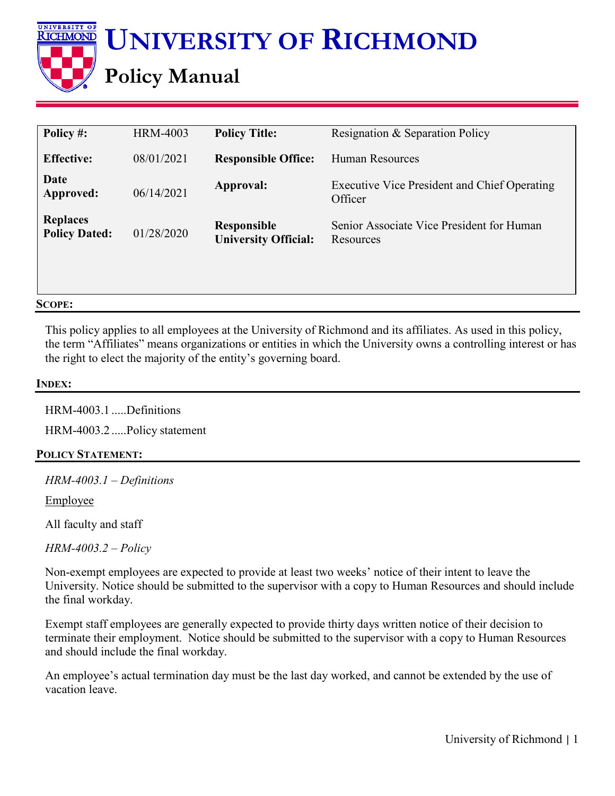

| Policy #:                               | <b>HRM-4003</b> | <b>Policy Title:</b>                              | Resignation & Separation Policy                                |
|-----------------------------------------|-----------------|---------------------------------------------------|----------------------------------------------------------------|
| <b>Effective:</b>                       | 08/01/2021      | <b>Responsible Office:</b>                        | <b>Human Resources</b>                                         |
| Date<br>Approved:                       | 06/14/2021      | Approval:                                         | <b>Executive Vice President and Chief Operating</b><br>Officer |
| <b>Replaces</b><br><b>Policy Dated:</b> | 01/28/2020      | <b>Responsible</b><br><b>University Official:</b> | Senior Associate Vice President for Human<br>Resources         |

## **SCOPE:**

This policy applies to all employees at the University of Richmond and its affiliates. As used in this policy, the term "Affiliates" means organizations or entities in which the University owns a controlling interest or has the right to elect the majority of the entity's governing board.

## **INDEX:**

HRM-4003.1 .....Definitions HRM-4003.2 .....Policy statement

## **POLICY STATEMENT:**

*HRM-4003.1 – Definitions*

Employee

All faculty and staff

*HRM-4003.2 – Policy*

Non-exempt employees are expected to provide at least two weeks' notice of their intent to leave the University. Notice should be submitted to the supervisor with a copy to Human Resources and should include the final workday.

Exempt staff employees are generally expected to provide thirty days written notice of their decision to terminate their employment. Notice should be submitted to the supervisor with a copy to Human Resources and should include the final workday.

An employee's actual termination day must be the last day worked, and cannot be extended by the use of vacation leave.